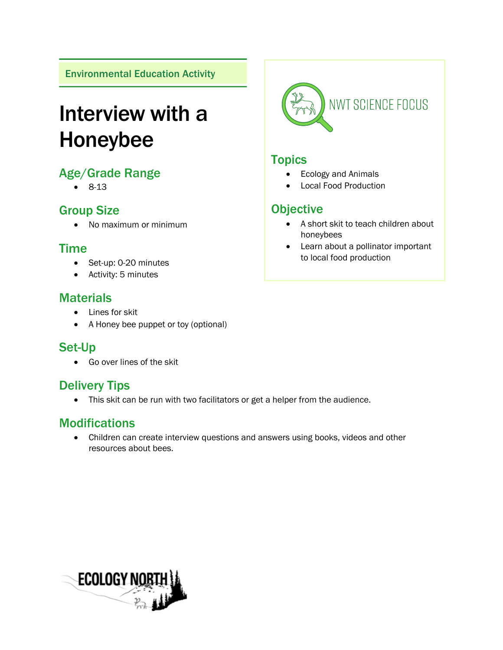Environmental Education Activity

# Interview with a Honeybee

## Age/Grade Range

• 8-13

## Group Size

• No maximum or minimum

## Time

- Set-up: 0-20 minutes
- Activity: 5 minutes

#### **Materials**

- Lines for skit
- A Honey bee puppet or toy (optional)

## Set-Up

• Go over lines of the skit

## Delivery Tips

• This skit can be run with two facilitators or get a helper from the audience.

## **Modifications**

• Children can create interview questions and answers using books, videos and other resources about bees.



#### **Topics**

- Ecology and Animals
- Local Food Production

## **Objective**

- A short skit to teach children about honeybees
- Learn about a pollinator important to local food production